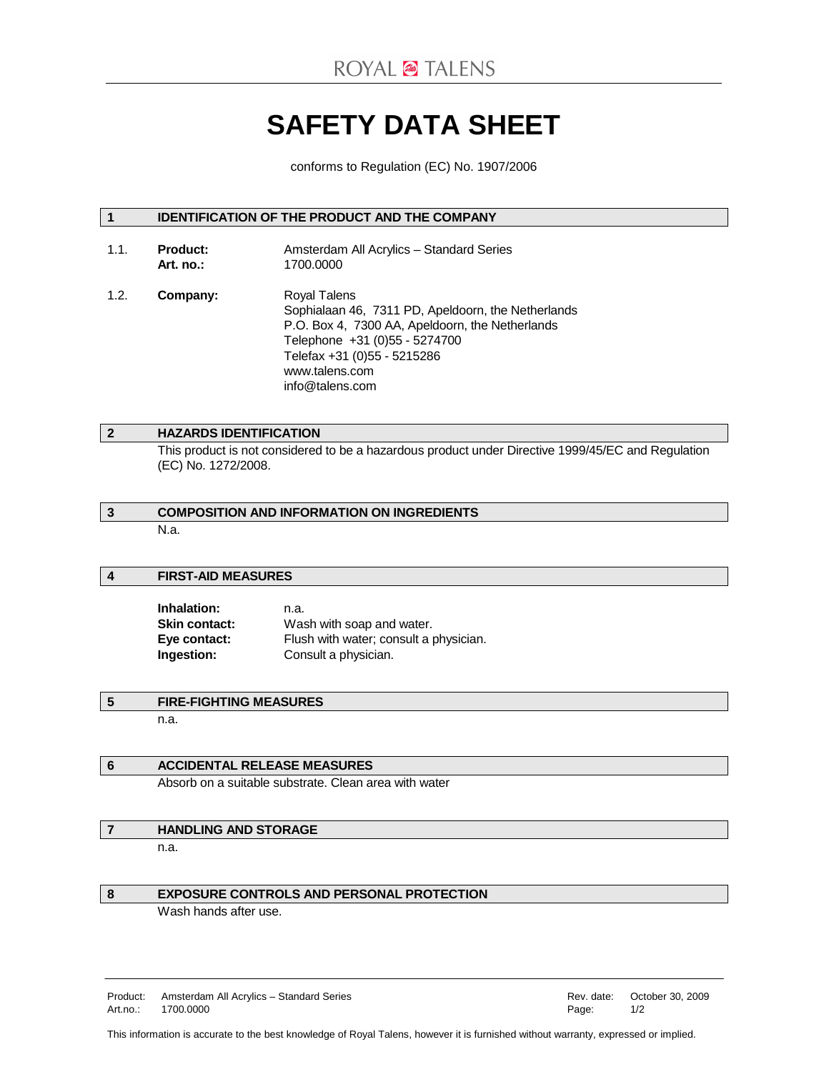# **SAFETY DATA SHEET**

conforms to Regulation (EC) No. 1907/2006

# **1 IDENTIFICATION OF THE PRODUCT AND THE COMPANY**

- 1.1. **Product:** Amsterdam All Acrylics Standard Series  **Art. no.:** 1700.0000 1.2. **Company:** Royal Talens
- Sophialaan 46, 7311 PD, Apeldoorn, the Netherlands P.O. Box 4, 7300 AA, Apeldoorn, the Netherlands Telephone +31 (0)55 - 5274700 Telefax +31 (0)55 - 5215286 www.talens.com info@talens.com

# **2 HAZARDS IDENTIFICATION**

 This product is not considered to be a hazardous product under Directive 1999/45/EC and Regulation (EC) No. 1272/2008.

# **3 COMPOSITION AND INFORMATION ON INGREDIENTS**  N.a.

#### **4 FIRST-AID MEASURES**

| Inhalation:          | n.a.                                                                |  |
|----------------------|---------------------------------------------------------------------|--|
| <b>Skin contact:</b> | Wash with soap and water.<br>Flush with water; consult a physician. |  |
| Eye contact:         |                                                                     |  |
| Ingestion:           | Consult a physician.                                                |  |

# **5 FIRE-FIGHTING MEASURES**

n.a.

#### **6 ACCIDENTAL RELEASE MEASURES**

Absorb on a suitable substrate. Clean area with water

## **7 HANDLING AND STORAGE**

n.a.

#### **8 EXPOSURE CONTROLS AND PERSONAL PROTECTION**

Wash hands after use.

Product: Amsterdam All Acrylics – Standard Series Rev. and Rev. date: October 30, 2009 Art.no.: 1700.0000 Page: 1/2

This information is accurate to the best knowledge of Royal Talens, however it is furnished without warranty, expressed or implied.